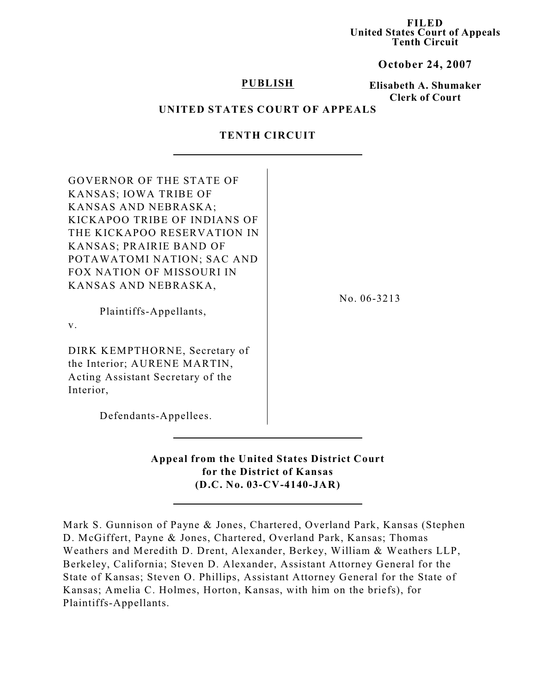**FILED United States Court of Appeals Tenth Circuit**

**October 24, 2007**

## **PUBLISH**

## **Elisabeth A. Shumaker Clerk of Court**

### **UNITED STATES COURT OF APPEALS**

## **TENTH CIRCUIT**

| <b>GOVERNOR OF THE STATE OF</b>   |             |
|-----------------------------------|-------------|
| KANSAS; IOWA TRIBE OF             |             |
| KANSAS AND NEBRASKA;              |             |
| KICKAPOO TRIBE OF INDIANS OF      |             |
| THE KICKAPOO RESERVATION IN       |             |
| KANSAS; PRAIRIE BAND OF           |             |
| POTAWATOMI NATION; SAC AND        |             |
| <b>FOX NATION OF MISSOURI IN</b>  |             |
| KANSAS AND NEBRASKA,              |             |
|                                   | No. 06-3213 |
| Plaintiffs-Appellants,            |             |
| V.                                |             |
| DIRK KEMPTHORNE, Secretary of     |             |
| the Interior; AURENE MARTIN,      |             |
| Acting Assistant Secretary of the |             |
| Interior,                         |             |
|                                   |             |
| Defendants-Appellees.             |             |

**Appeal from the United States District Court for the District of Kansas (D.C. No. 03-CV-4140-JAR)**

Mark S. Gunnison of Payne & Jones, Chartered, Overland Park, Kansas (Stephen D. McGiffert, Payne & Jones, Chartered, Overland Park, Kansas; Thomas Weathers and Meredith D. Drent, Alexander, Berkey, William & Weathers LLP, Berkeley, California; Steven D. Alexander, Assistant Attorney General for the State of Kansas; Steven O. Phillips, Assistant Attorney General for the State of Kansas; Amelia C. Holmes, Horton, Kansas, with him on the briefs), for Plaintiffs-Appellants.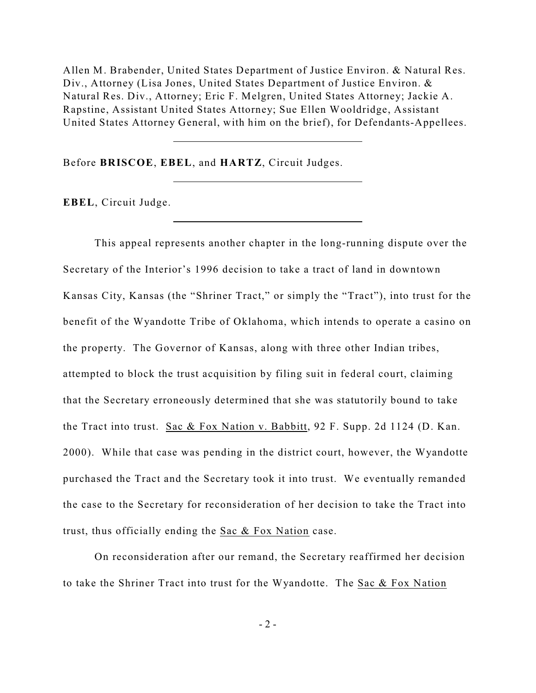Allen M. Brabender, United States Department of Justice Environ. & Natural Res. Div., Attorney (Lisa Jones, United States Department of Justice Environ. & Natural Res. Div., Attorney; Eric F. Melgren, United States Attorney; Jackie A. Rapstine, Assistant United States Attorney; Sue Ellen Wooldridge, Assistant United States Attorney General, with him on the brief), for Defendants-Appellees.

Before **BRISCOE**, **EBEL**, and **HARTZ**, Circuit Judges.

**EBEL**, Circuit Judge.

This appeal represents another chapter in the long-running dispute over the Secretary of the Interior's 1996 decision to take a tract of land in downtown Kansas City, Kansas (the "Shriner Tract," or simply the "Tract"), into trust for the benefit of the Wyandotte Tribe of Oklahoma, which intends to operate a casino on the property. The Governor of Kansas, along with three other Indian tribes, attempted to block the trust acquisition by filing suit in federal court, claiming that the Secretary erroneously determined that she was statutorily bound to take the Tract into trust. Sac & Fox Nation v. Babbitt, 92 F. Supp. 2d 1124 (D. Kan. 2000). While that case was pending in the district court, however, the Wyandotte purchased the Tract and the Secretary took it into trust. We eventually remanded the case to the Secretary for reconsideration of her decision to take the Tract into trust, thus officially ending the Sac & Fox Nation case.

On reconsideration after our remand, the Secretary reaffirmed her decision to take the Shriner Tract into trust for the Wyandotte. The Sac & Fox Nation

 $-2 -$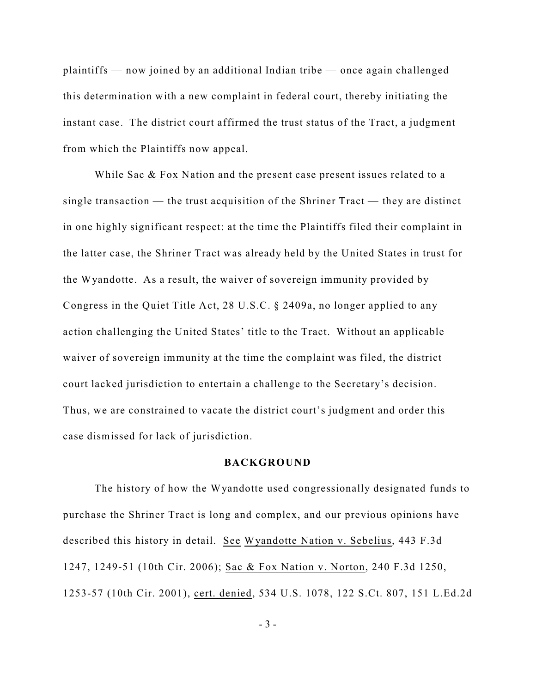plaintiffs — now joined by an additional Indian tribe — once again challenged this determination with a new complaint in federal court, thereby initiating the instant case. The district court affirmed the trust status of the Tract, a judgment from which the Plaintiffs now appeal.

While Sac & Fox Nation and the present case present issues related to a single transaction — the trust acquisition of the Shriner Tract — they are distinct in one highly significant respect: at the time the Plaintiffs filed their complaint in the latter case, the Shriner Tract was already held by the United States in trust for the Wyandotte. As a result, the waiver of sovereign immunity provided by Congress in the Quiet Title Act, 28 U.S.C. § 2409a, no longer applied to any action challenging the United States' title to the Tract. Without an applicable waiver of sovereign immunity at the time the complaint was filed, the district court lacked jurisdiction to entertain a challenge to the Secretary's decision. Thus, we are constrained to vacate the district court's judgment and order this case dismissed for lack of jurisdiction.

## **BACKGROUND**

The history of how the Wyandotte used congressionally designated funds to purchase the Shriner Tract is long and complex, and our previous opinions have described this history in detail. See Wyandotte Nation v. Sebelius, 443 F.3d 1247, 1249-51 (10th Cir. 2006); Sac & Fox Nation v. Norton, 240 F.3d 1250, 1253-57 (10th Cir. 2001), cert. denied, 534 U.S. 1078, 122 S.Ct. 807, 151 L.Ed.2d

- 3 -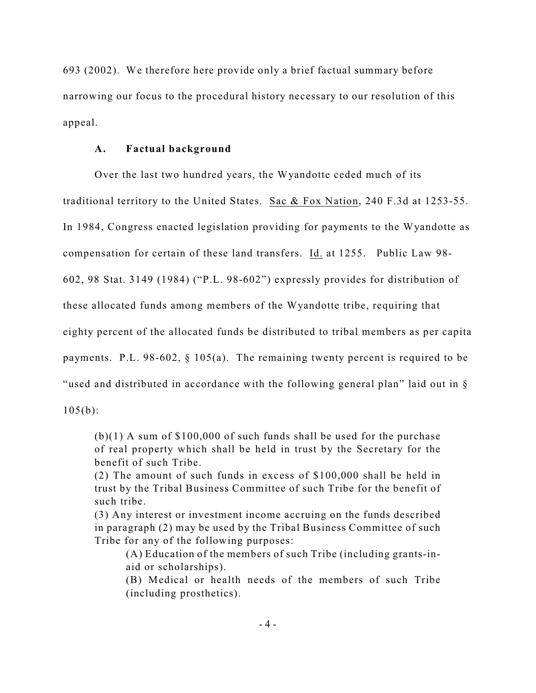693 (2002). We therefore here provide only a brief factual summary before narrowing our focus to the procedural history necessary to our resolution of this appeal.

## **A. Factual background**

Over the last two hundred years, the Wyandotte ceded much of its traditional territory to the United States. Sac & Fox Nation, 240 F.3d at 1253-55. In 1984, Congress enacted legislation providing for payments to the Wyandotte as compensation for certain of these land transfers. Id. at 1255. Public Law 98- 602, 98 Stat. 3149 (1984) ("P.L. 98-602") expressly provides for distribution of these allocated funds among members of the Wyandotte tribe, requiring that eighty percent of the allocated funds be distributed to tribal members as per capita payments. P.L. 98-602, § 105(a). The remaining twenty percent is required to be "used and distributed in accordance with the following general plan" laid out in §

 $105(b)$ :

 $(b)(1)$  A sum of \$100,000 of such funds shall be used for the purchase of real property which shall be held in trust by the Secretary for the benefit of such Tribe.

(2) The amount of such funds in excess of \$100,000 shall be held in trust by the Tribal Business Committee of such Tribe for the benefit of such tribe.

(3) Any interest or investment income accruing on the funds described in paragraph (2) may be used by the Tribal Business Committee of such Tribe for any of the following purposes:

(A) Education of the members of such Tribe (including grants-inaid or scholarships).

(B) Medical or health needs of the members of such Tribe (including prosthetics).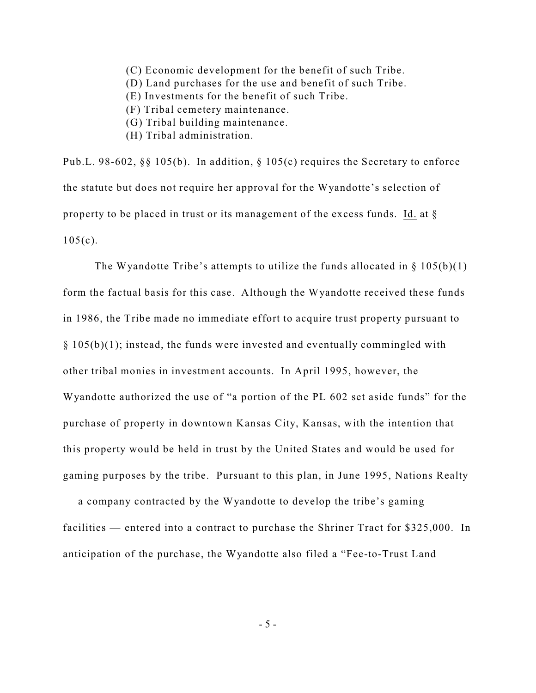- (C) Economic development for the benefit of such Tribe.
- (D) Land purchases for the use and benefit of such Tribe.
- (E) Investments for the benefit of such Tribe.
- (F) Tribal cemetery maintenance.
- (G) Tribal building maintenance.
- (H) Tribal administration.

Pub.L. 98-602, §§ 105(b). In addition, § 105(c) requires the Secretary to enforce the statute but does not require her approval for the Wyandotte's selection of property to be placed in trust or its management of the excess funds. Id. at §  $105(c)$ .

The Wyandotte Tribe's attempts to utilize the funds allocated in  $\S 105(b)(1)$ form the factual basis for this case. Although the Wyandotte received these funds in 1986, the Tribe made no immediate effort to acquire trust property pursuant to  $§ 105(b)(1);$  instead, the funds were invested and eventually commingled with other tribal monies in investment accounts. In April 1995, however, the Wyandotte authorized the use of "a portion of the PL 602 set aside funds" for the purchase of property in downtown Kansas City, Kansas, with the intention that this property would be held in trust by the United States and would be used for gaming purposes by the tribe. Pursuant to this plan, in June 1995, Nations Realty — a company contracted by the Wyandotte to develop the tribe's gaming facilities — entered into a contract to purchase the Shriner Tract for \$325,000.In anticipation of the purchase, the Wyandotte also filed a "Fee-to-Trust Land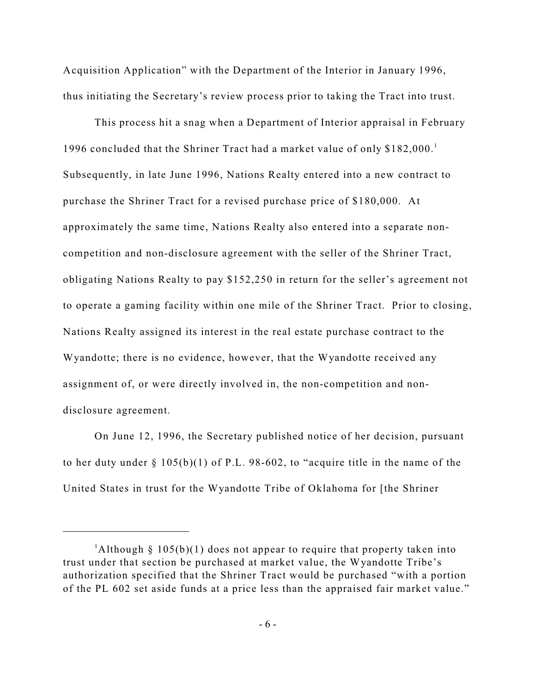Acquisition Application" with the Department of the Interior in January 1996, thus initiating the Secretary's review process prior to taking the Tract into trust.

This process hit a snag when a Department of Interior appraisal in February 1996 concluded that the Shriner Tract had a market value of only \$182,000.<sup>1</sup> Subsequently, in late June 1996, Nations Realty entered into a new contract to purchase the Shriner Tract for a revised purchase price of \$180,000. At approximately the same time, Nations Realty also entered into a separate noncompetition and non-disclosure agreement with the seller of the Shriner Tract, obligating Nations Realty to pay \$152,250 in return for the seller's agreement not to operate a gaming facility within one mile of the Shriner Tract. Prior to closing, Nations Realty assigned its interest in the real estate purchase contract to the Wyandotte; there is no evidence, however, that the Wyandotte received any assignment of, or were directly involved in, the non-competition and nondisclosure agreement.

On June 12, 1996, the Secretary published notice of her decision, pursuant to her duty under § 105(b)(1) of P.L. 98-602, to "acquire title in the name of the United States in trust for the Wyandotte Tribe of Oklahoma for [the Shriner

<sup>&</sup>lt;sup>1</sup>Although § 105(b)(1) does not appear to require that property taken into trust under that section be purchased at market value, the Wyandotte Tribe's authorization specified that the Shriner Tract would be purchased "with a portion of the PL 602 set aside funds at a price less than the appraised fair market value."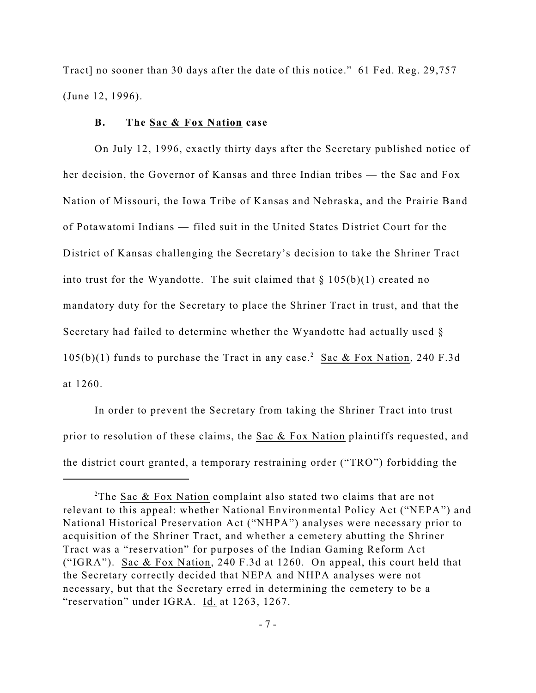Tract] no sooner than 30 days after the date of this notice." 61 Fed. Reg. 29,757 (June 12, 1996).

## **B. The Sac & Fox Nation case**

On July 12, 1996, exactly thirty days after the Secretary published notice of her decision, the Governor of Kansas and three Indian tribes — the Sac and Fox Nation of Missouri, the Iowa Tribe of Kansas and Nebraska, and the Prairie Band of Potawatomi Indians — filed suit in the United States District Court for the District of Kansas challenging the Secretary's decision to take the Shriner Tract into trust for the Wyandotte. The suit claimed that  $\S 105(b)(1)$  created no mandatory duty for the Secretary to place the Shriner Tract in trust, and that the Secretary had failed to determine whether the Wyandotte had actually used §  $105(b)(1)$  funds to purchase the Tract in any case.<sup>2</sup> Sac & Fox Nation, 240 F.3d at 1260.

In order to prevent the Secretary from taking the Shriner Tract into trust prior to resolution of these claims, the Sac & Fox Nation plaintiffs requested, and the district court granted, a temporary restraining order ("TRO") forbidding the

<sup>&</sup>lt;sup>2</sup>The Sac & Fox Nation complaint also stated two claims that are not relevant to this appeal: whether National Environmental Policy Act ("NEPA") and National Historical Preservation Act ("NHPA") analyses were necessary prior to acquisition of the Shriner Tract, and whether a cemetery abutting the Shriner Tract was a "reservation" for purposes of the Indian Gaming Reform Act ("IGRA"). Sac & Fox Nation, 240 F.3d at 1260. On appeal, this court held that the Secretary correctly decided that NEPA and NHPA analyses were not necessary, but that the Secretary erred in determining the cemetery to be a "reservation" under IGRA. Id. at 1263, 1267.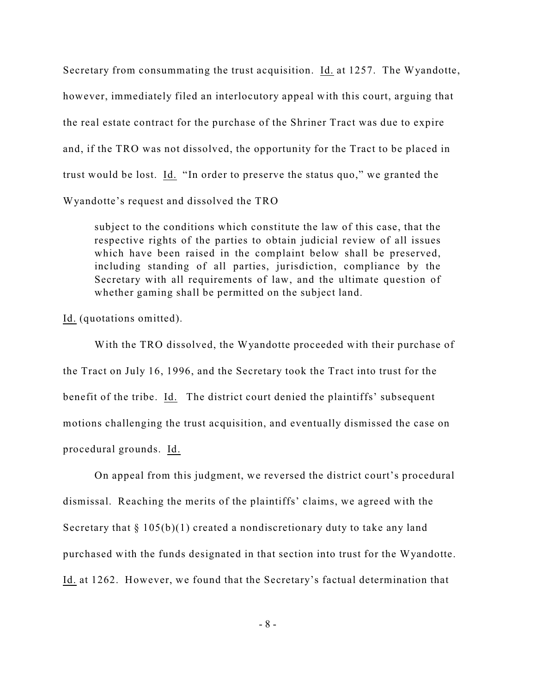Secretary from consummating the trust acquisition. Id. at 1257. The Wyandotte, however, immediately filed an interlocutory appeal with this court, arguing that the real estate contract for the purchase of the Shriner Tract was due to expire and, if the TRO was not dissolved, the opportunity for the Tract to be placed in trust would be lost. Id. "In order to preserve the status quo," we granted the Wyandotte's request and dissolved the TRO

subject to the conditions which constitute the law of this case, that the respective rights of the parties to obtain judicial review of all issues which have been raised in the complaint below shall be preserved, including standing of all parties, jurisdiction, compliance by the Secretary with all requirements of law, and the ultimate question of whether gaming shall be permitted on the subject land.

Id. (quotations omitted).

With the TRO dissolved, the Wyandotte proceeded with their purchase of the Tract on July 16, 1996, and the Secretary took the Tract into trust for the benefit of the tribe. Id. The district court denied the plaintiffs' subsequent motions challenging the trust acquisition, and eventually dismissed the case on procedural grounds. Id.

On appeal from this judgment, we reversed the district court's procedural dismissal. Reaching the merits of the plaintiffs' claims, we agreed with the Secretary that  $\S 105(b)(1)$  created a nondiscretionary duty to take any land purchased with the funds designated in that section into trust for the Wyandotte. Id. at 1262. However, we found that the Secretary's factual determination that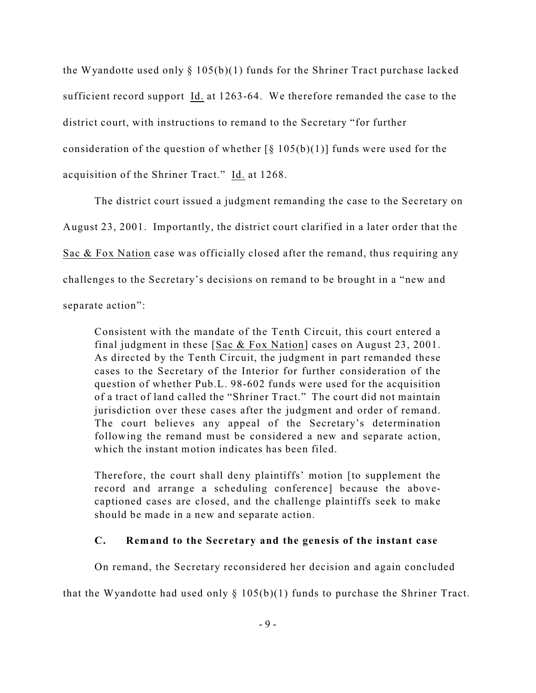the Wyandotte used only  $\S 105(b)(1)$  funds for the Shriner Tract purchase lacked sufficient record support Id. at 1263-64. We therefore remanded the case to the district court, with instructions to remand to the Secretary "for further consideration of the question of whether  $\lceil \frac{6}{9} \cdot 105(b)(1) \rceil$  funds were used for the acquisition of the Shriner Tract." Id. at 1268.

The district court issued a judgment remanding the case to the Secretary on August 23, 2001. Importantly, the district court clarified in a later order that the Sac & Fox Nation case was officially closed after the remand, thus requiring any challenges to the Secretary's decisions on remand to be brought in a "new and separate action":

Consistent with the mandate of the Tenth Circuit, this court entered a final judgment in these [Sac & Fox Nation] cases on August 23, 2001. As directed by the Tenth Circuit, the judgment in part remanded these cases to the Secretary of the Interior for further consideration of the question of whether Pub.L. 98-602 funds were used for the acquisition of a tract of land called the "Shriner Tract." The court did not maintain jurisdiction over these cases after the judgment and order of remand. The court believes any appeal of the Secretary's determination following the remand must be considered a new and separate action, which the instant motion indicates has been filed.

Therefore, the court shall deny plaintiffs' motion [to supplement the record and arrange a scheduling conference] because the abovecaptioned cases are closed, and the challenge plaintiffs seek to make should be made in a new and separate action.

## **C. Remand to the Secretary and the genesis of the instant case**

On remand, the Secretary reconsidered her decision and again concluded

that the Wyandotte had used only  $\S$  105(b)(1) funds to purchase the Shriner Tract.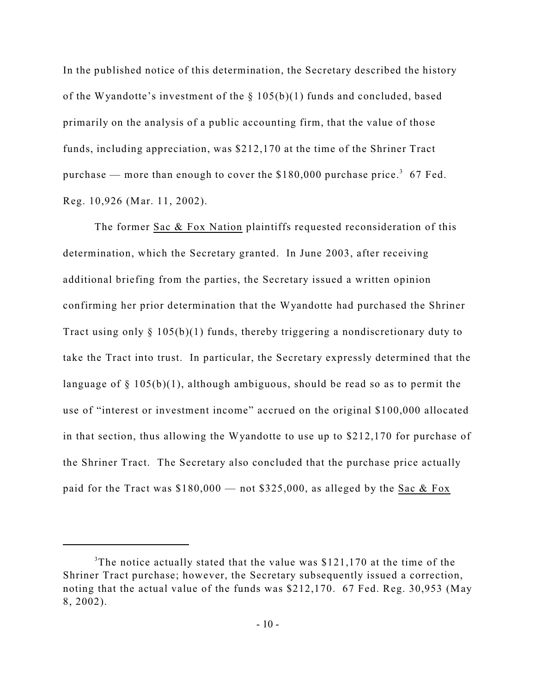In the published notice of this determination, the Secretary described the history of the Wyandotte's investment of the § 105(b)(1) funds and concluded, based primarily on the analysis of a public accounting firm, that the value of those funds, including appreciation, was \$212,170 at the time of the Shriner Tract purchase — more than enough to cover the  $$180,000$  purchase price.<sup>3</sup> 67 Fed. Reg. 10,926 (Mar. 11, 2002).

The former Sac & Fox Nation plaintiffs requested reconsideration of this determination, which the Secretary granted. In June 2003, after receiving additional briefing from the parties, the Secretary issued a written opinion confirming her prior determination that the Wyandotte had purchased the Shriner Tract using only § 105(b)(1) funds, thereby triggering a nondiscretionary duty to take the Tract into trust. In particular, the Secretary expressly determined that the language of § 105(b)(1), although ambiguous, should be read so as to permit the use of "interest or investment income" accrued on the original \$100,000 allocated in that section, thus allowing the Wyandotte to use up to \$212,170 for purchase of the Shriner Tract. The Secretary also concluded that the purchase price actually paid for the Tract was \$180,000 — not \$325,000, as alleged by the Sac & Fox

<sup>&</sup>lt;sup>3</sup>The notice actually stated that the value was  $$121,170$  at the time of the Shriner Tract purchase; however, the Secretary subsequently issued a correction, noting that the actual value of the funds was \$212,170. 67 Fed. Reg. 30,953 (May 8, 2002).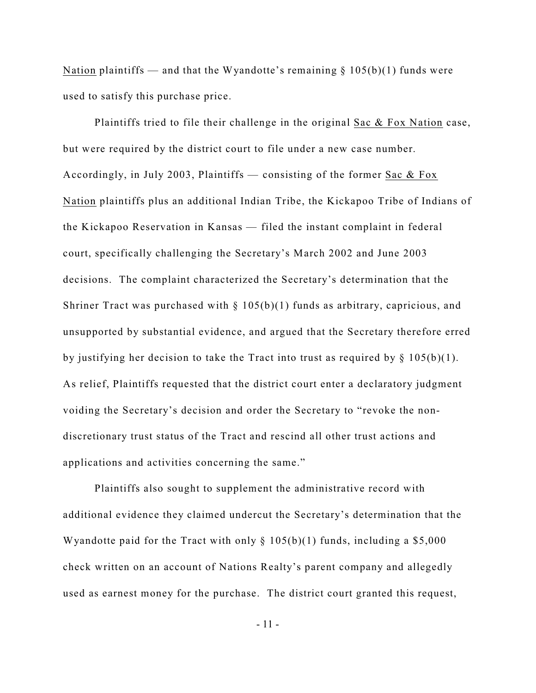Nation plaintiffs — and that the Wyandotte's remaining  $\S 105(b)(1)$  funds were used to satisfy this purchase price.

Plaintiffs tried to file their challenge in the original Sac & Fox Nation case, but were required by the district court to file under a new case number. Accordingly, in July 2003, Plaintiffs — consisting of the former Sac & Fox Nation plaintiffs plus an additional Indian Tribe, the Kickapoo Tribe of Indians of the Kickapoo Reservation in Kansas — filed the instant complaint in federal court, specifically challenging the Secretary's March 2002 and June 2003 decisions. The complaint characterized the Secretary's determination that the Shriner Tract was purchased with  $\S$  105(b)(1) funds as arbitrary, capricious, and unsupported by substantial evidence, and argued that the Secretary therefore erred by justifying her decision to take the Tract into trust as required by  $\S 105(b)(1)$ . As relief, Plaintiffs requested that the district court enter a declaratory judgment voiding the Secretary's decision and order the Secretary to "revoke the nondiscretionary trust status of the Tract and rescind all other trust actions and applications and activities concerning the same."

Plaintiffs also sought to supplement the administrative record with additional evidence they claimed undercut the Secretary's determination that the Wyandotte paid for the Tract with only  $\S 105(b)(1)$  funds, including a \$5,000 check written on an account of Nations Realty's parent company and allegedly used as earnest money for the purchase. The district court granted this request,

- 11 -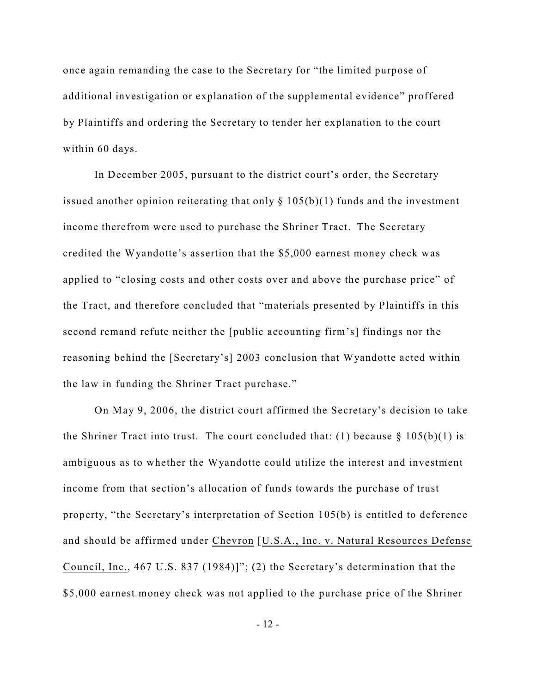once again remanding the case to the Secretary for "the limited purpose of additional investigation or explanation of the supplemental evidence" proffered by Plaintiffs and ordering the Secretary to tender her explanation to the court within 60 days.

In December 2005, pursuant to the district court's order, the Secretary issued another opinion reiterating that only  $\S 105(b)(1)$  funds and the investment income therefrom were used to purchase the Shriner Tract. The Secretary credited the Wyandotte's assertion that the \$5,000 earnest money check was applied to "closing costs and other costs over and above the purchase price" of the Tract, and therefore concluded that "materials presented by Plaintiffs in this second remand refute neither the [public accounting firm's] findings nor the reasoning behind the [Secretary's] 2003 conclusion that Wyandotte acted within the law in funding the Shriner Tract purchase."

On May 9, 2006, the district court affirmed the Secretary's decision to take the Shriner Tract into trust. The court concluded that: (1) because  $\S 105(b)(1)$  is ambiguous as to whether the Wyandotte could utilize the interest and investment income from that section's allocation of funds towards the purchase of trust property, "the Secretary's interpretation of Section 105(b) is entitled to deference and should be affirmed under Chevron [U.S.A., Inc. v. Natural Resources Defense Council, Inc., 467 U.S. 837 (1984)]"; (2) the Secretary's determination that the \$5,000 earnest money check was not applied to the purchase price of the Shriner

- 12 -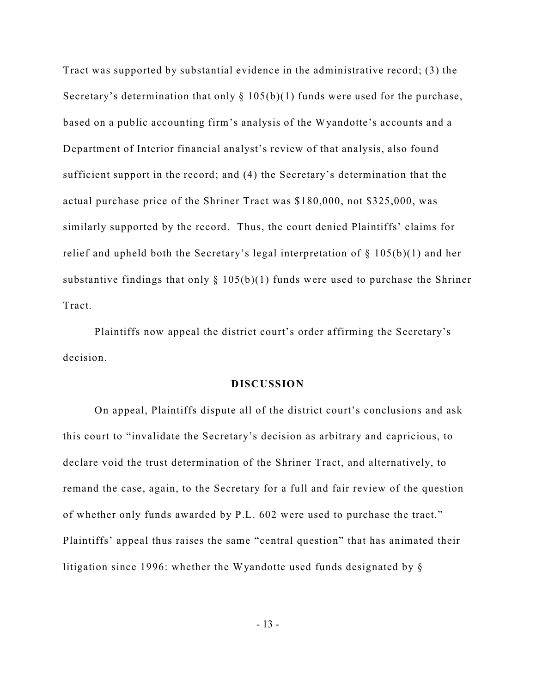Tract was supported by substantial evidence in the administrative record; (3) the Secretary's determination that only  $\S$  105(b)(1) funds were used for the purchase, based on a public accounting firm's analysis of the Wyandotte's accounts and a Department of Interior financial analyst's review of that analysis, also found sufficient support in the record; and (4) the Secretary's determination that the actual purchase price of the Shriner Tract was \$180,000, not \$325,000, was similarly supported by the record. Thus, the court denied Plaintiffs' claims for relief and upheld both the Secretary's legal interpretation of  $\S$  105(b)(1) and her substantive findings that only  $\S 105(b)(1)$  funds were used to purchase the Shriner Tract.

Plaintiffs now appeal the district court's order affirming the Secretary's decision.

#### **DISCUSSION**

On appeal, Plaintiffs dispute all of the district court's conclusions and ask this court to "invalidate the Secretary's decision as arbitrary and capricious, to declare void the trust determination of the Shriner Tract, and alternatively, to remand the case, again, to the Secretary for a full and fair review of the question of whether only funds awarded by P.L. 602 were used to purchase the tract." Plaintiffs' appeal thus raises the same "central question" that has animated their litigation since 1996: whether the Wyandotte used funds designated by §

- 13 -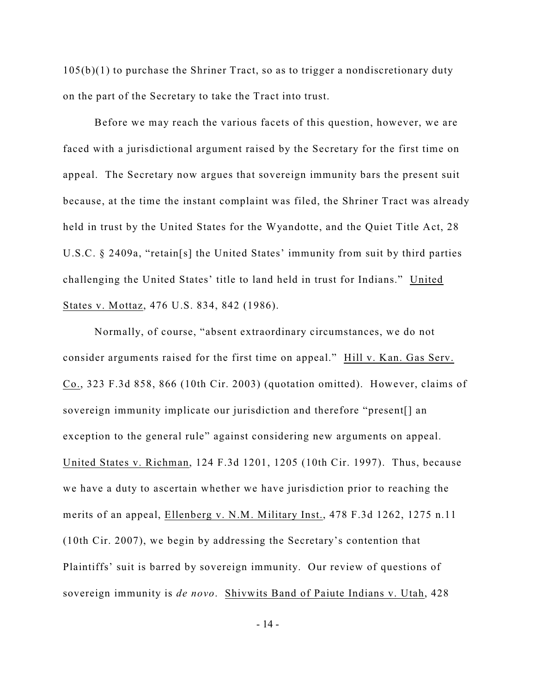105(b)(1) to purchase the Shriner Tract, so as to trigger a nondiscretionary duty on the part of the Secretary to take the Tract into trust.

Before we may reach the various facets of this question, however, we are faced with a jurisdictional argument raised by the Secretary for the first time on appeal. The Secretary now argues that sovereign immunity bars the present suit because, at the time the instant complaint was filed, the Shriner Tract was already held in trust by the United States for the Wyandotte, and the Quiet Title Act, 28 U.S.C. § 2409a, "retain[s] the United States' immunity from suit by third parties challenging the United States' title to land held in trust for Indians." United States v. Mottaz, 476 U.S. 834, 842 (1986).

Normally, of course, "absent extraordinary circumstances, we do not consider arguments raised for the first time on appeal." Hill v. Kan. Gas Serv. Co., 323 F.3d 858, 866 (10th Cir. 2003) (quotation omitted). However, claims of sovereign immunity implicate our jurisdiction and therefore "present[] an exception to the general rule" against considering new arguments on appeal. United States v. Richman, 124 F.3d 1201, 1205 (10th Cir. 1997). Thus, because we have a duty to ascertain whether we have jurisdiction prior to reaching the merits of an appeal, Ellenberg v. N.M. Military Inst., 478 F.3d 1262, 1275 n.11 (10th Cir. 2007), we begin by addressing the Secretary's contention that Plaintiffs' suit is barred by sovereign immunity. Our review of questions of sovereign immunity is *de novo*. Shivwits Band of Paiute Indians v. Utah, 428

- 14 -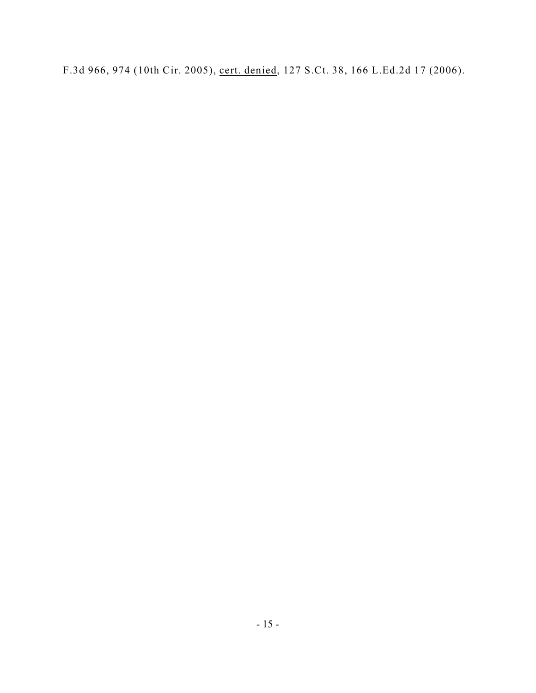F.3d 966, 974 (10th Cir. 2005), cert. denied, 127 S.Ct. 38, 166 L.Ed.2d 17 (2006).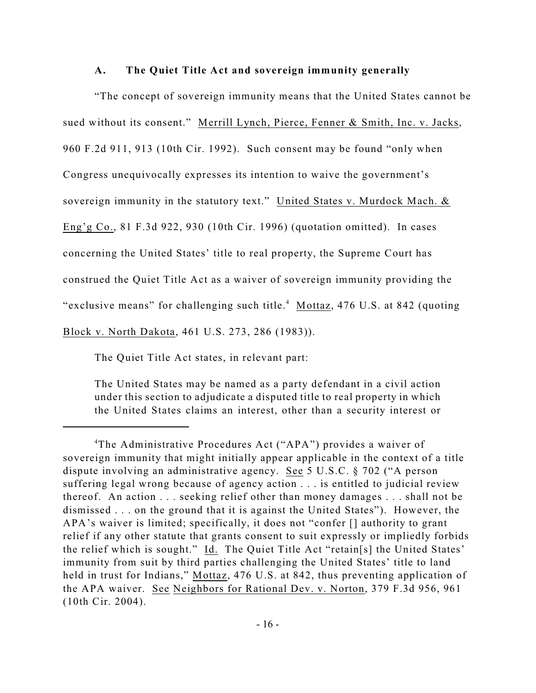## **A. The Quiet Title Act and sovereign immunity generally**

"The concept of sovereign immunity means that the United States cannot be sued without its consent." Merrill Lynch, Pierce, Fenner & Smith, Inc. v. Jacks, 960 F.2d 911, 913 (10th Cir. 1992). Such consent may be found "only when Congress unequivocally expresses its intention to waive the government's sovereign immunity in the statutory text." United States v. Murdock Mach. & Eng'g Co., 81 F.3d 922, 930 (10th Cir. 1996) (quotation omitted). In cases concerning the United States' title to real property, the Supreme Court has construed the Quiet Title Act as a waiver of sovereign immunity providing the "exclusive means" for challenging such title. $4$  Mottaz, 476 U.S. at 842 (quoting Block v. North Dakota, 461 U.S. 273, 286 (1983)).

The Quiet Title Act states, in relevant part:

The United States may be named as a party defendant in a civil action under this section to adjudicate a disputed title to real property in which the United States claims an interest, other than a security interest or

<sup>&</sup>lt;sup>4</sup>The Administrative Procedures Act ("APA") provides a waiver of sovereign immunity that might initially appear applicable in the context of a title dispute involving an administrative agency. See 5 U.S.C. § 702 ("A person suffering legal wrong because of agency action . . . is entitled to judicial review thereof. An action . . . seeking relief other than money damages . . . shall not be dismissed . . . on the ground that it is against the United States"). However, the APA's waiver is limited; specifically, it does not "confer [] authority to grant relief if any other statute that grants consent to suit expressly or impliedly forbids the relief which is sought." Id. The Quiet Title Act "retain[s] the United States' immunity from suit by third parties challenging the United States' title to land held in trust for Indians," Mottaz, 476 U.S. at 842, thus preventing application of the APA waiver. See Neighbors for Rational Dev. v. Norton, 379 F.3d 956, 961 (10th Cir. 2004).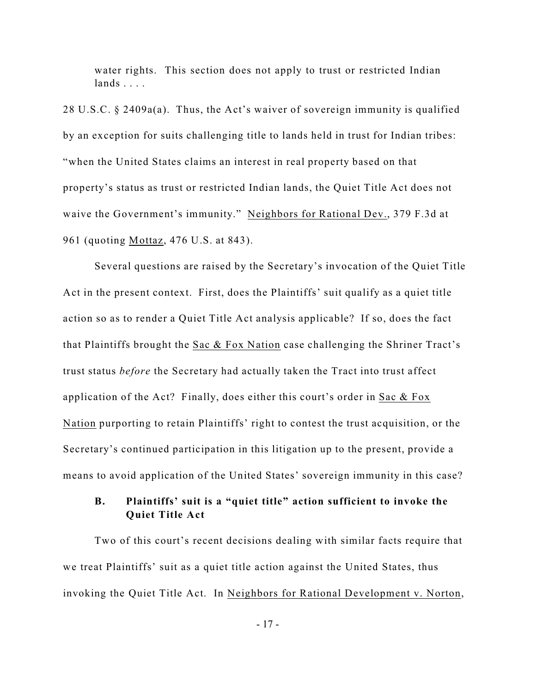water rights. This section does not apply to trust or restricted Indian lands . . . .

28 U.S.C. § 2409a(a). Thus, the Act's waiver of sovereign immunity is qualified by an exception for suits challenging title to lands held in trust for Indian tribes: "when the United States claims an interest in real property based on that property's status as trust or restricted Indian lands, the Quiet Title Act does not waive the Government's immunity." Neighbors for Rational Dev., 379 F.3d at 961 (quoting Mottaz, 476 U.S. at 843).

Several questions are raised by the Secretary's invocation of the Quiet Title Act in the present context. First, does the Plaintiffs' suit qualify as a quiet title action so as to render a Quiet Title Act analysis applicable? If so, does the fact that Plaintiffs brought the Sac & Fox Nation case challenging the Shriner Tract's trust status *before* the Secretary had actually taken the Tract into trust affect application of the Act? Finally, does either this court's order in Sac & Fox Nation purporting to retain Plaintiffs' right to contest the trust acquisition, or the Secretary's continued participation in this litigation up to the present, provide a means to avoid application of the United States' sovereign immunity in this case?

# **B. Plaintiffs' suit is a "quiet title" action sufficient to invoke the Quiet Title Act**

Two of this court's recent decisions dealing with similar facts require that we treat Plaintiffs' suit as a quiet title action against the United States, thus invoking the Quiet Title Act. In Neighbors for Rational Development v. Norton,

- 17 -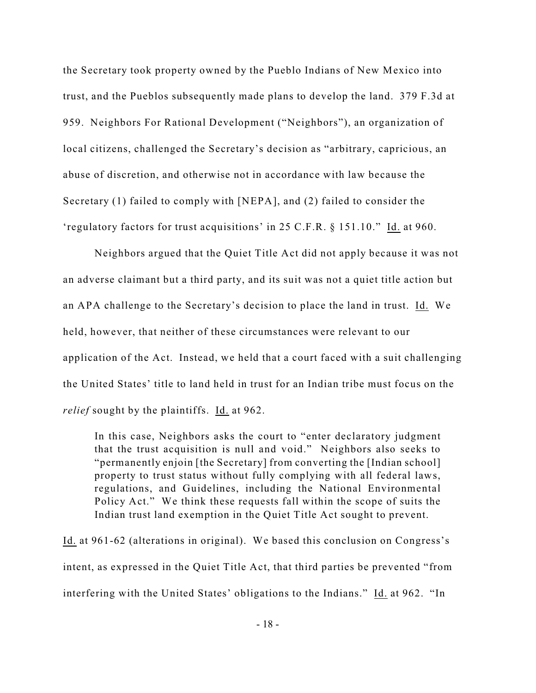the Secretary took property owned by the Pueblo Indians of New Mexico into trust, and the Pueblos subsequently made plans to develop the land. 379 F.3d at 959. Neighbors For Rational Development ("Neighbors"), an organization of local citizens, challenged the Secretary's decision as "arbitrary, capricious, an abuse of discretion, and otherwise not in accordance with law because the Secretary (1) failed to comply with [NEPA], and (2) failed to consider the 'regulatory factors for trust acquisitions' in 25 C.F.R. § 151.10." Id. at 960.

Neighbors argued that the Quiet Title Act did not apply because it was not an adverse claimant but a third party, and its suit was not a quiet title action but an APA challenge to the Secretary's decision to place the land in trust. Id. We held, however, that neither of these circumstances were relevant to our application of the Act. Instead, we held that a court faced with a suit challenging the United States' title to land held in trust for an Indian tribe must focus on the *relief* sought by the plaintiffs. Id. at 962.

In this case, Neighbors asks the court to "enter declaratory judgment that the trust acquisition is null and void." Neighbors also seeks to "permanently enjoin [the Secretary] from converting the [Indian school] property to trust status without fully complying with all federal laws, regulations, and Guidelines, including the National Environmental Policy Act." We think these requests fall within the scope of suits the Indian trust land exemption in the Quiet Title Act sought to prevent.

Id. at 961-62 (alterations in original). We based this conclusion on Congress's intent, as expressed in the Quiet Title Act, that third parties be prevented "from interfering with the United States' obligations to the Indians." Id. at 962. "In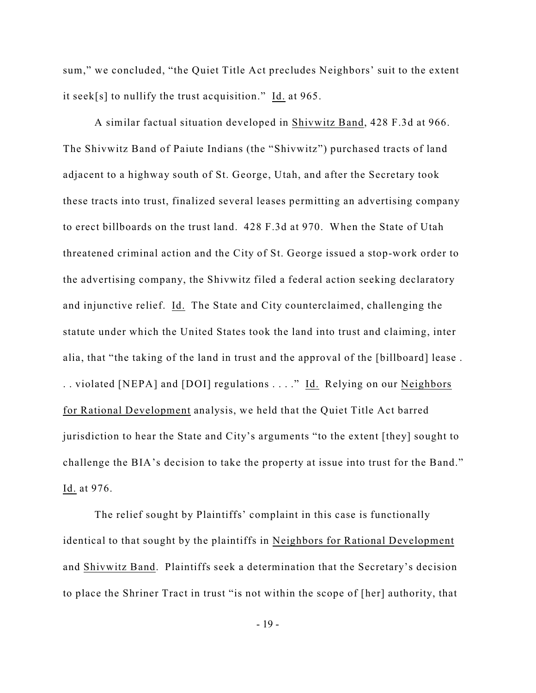sum," we concluded, "the Quiet Title Act precludes Neighbors' suit to the extent it seek[s] to nullify the trust acquisition." Id. at 965.

A similar factual situation developed in Shivwitz Band, 428 F.3d at 966. The Shivwitz Band of Paiute Indians (the "Shivwitz") purchased tracts of land adjacent to a highway south of St. George, Utah, and after the Secretary took these tracts into trust, finalized several leases permitting an advertising company to erect billboards on the trust land. 428 F.3d at 970. When the State of Utah threatened criminal action and the City of St. George issued a stop-work order to the advertising company, the Shivwitz filed a federal action seeking declaratory and injunctive relief. Id. The State and City counterclaimed, challenging the statute under which the United States took the land into trust and claiming, inter alia, that "the taking of the land in trust and the approval of the [billboard] lease . .. violated [NEPA] and [DOI] regulations ...." Id. Relying on our Neighbors for Rational Development analysis, we held that the Quiet Title Act barred jurisdiction to hear the State and City's arguments "to the extent [they] sought to challenge the BIA's decision to take the property at issue into trust for the Band." Id. at 976.

The relief sought by Plaintiffs' complaint in this case is functionally identical to that sought by the plaintiffs in Neighbors for Rational Development and Shivwitz Band. Plaintiffs seek a determination that the Secretary's decision to place the Shriner Tract in trust "is not within the scope of [her] authority, that

- 19 -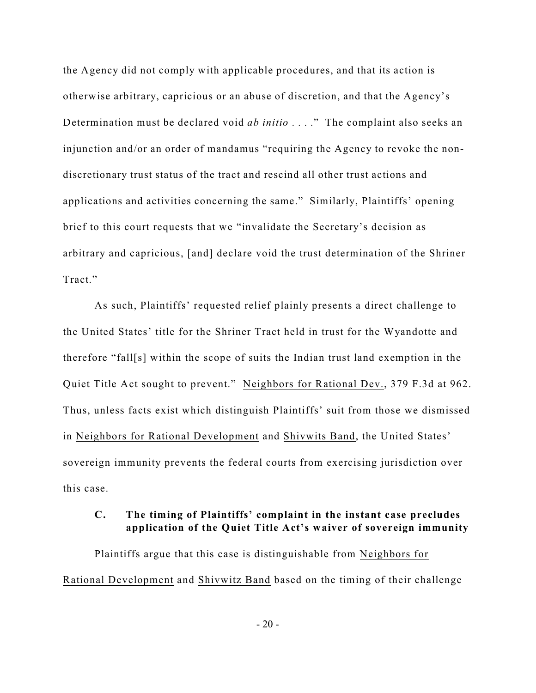the Agency did not comply with applicable procedures, and that its action is otherwise arbitrary, capricious or an abuse of discretion, and that the Agency's Determination must be declared void *ab initio* . . . ." The complaint also seeks an injunction and/or an order of mandamus "requiring the Agency to revoke the nondiscretionary trust status of the tract and rescind all other trust actions and applications and activities concerning the same." Similarly, Plaintiffs' opening brief to this court requests that we "invalidate the Secretary's decision as arbitrary and capricious, [and] declare void the trust determination of the Shriner Tract."

As such, Plaintiffs' requested relief plainly presents a direct challenge to the United States' title for the Shriner Tract held in trust for the Wyandotte and therefore "fall[s] within the scope of suits the Indian trust land exemption in the Quiet Title Act sought to prevent." Neighbors for Rational Dev., 379 F.3d at 962. Thus, unless facts exist which distinguish Plaintiffs' suit from those we dismissed in Neighbors for Rational Development and Shivwits Band, the United States' sovereign immunity prevents the federal courts from exercising jurisdiction over this case.

## **C. The timing of Plaintiffs' complaint in the instant case precludes application of the Quiet Title Act's waiver of sovereign immunity**

Plaintiffs argue that this case is distinguishable from Neighbors for Rational Development and Shivwitz Band based on the timing of their challenge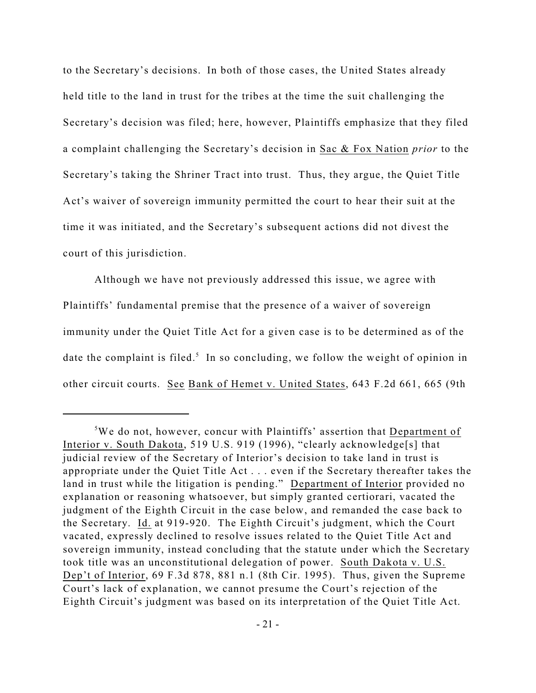to the Secretary's decisions. In both of those cases, the United States already held title to the land in trust for the tribes at the time the suit challenging the Secretary's decision was filed; here, however, Plaintiffs emphasize that they filed a complaint challenging the Secretary's decision in Sac & Fox Nation *prior* to the Secretary's taking the Shriner Tract into trust. Thus, they argue, the Quiet Title Act's waiver of sovereign immunity permitted the court to hear their suit at the time it was initiated, and the Secretary's subsequent actions did not divest the court of this jurisdiction.

Although we have not previously addressed this issue, we agree with Plaintiffs' fundamental premise that the presence of a waiver of sovereign immunity under the Quiet Title Act for a given case is to be determined as of the date the complaint is filed.<sup>5</sup> In so concluding, we follow the weight of opinion in other circuit courts. See Bank of Hemet v. United States, 643 F.2d 661, 665 (9th

 $5$ We do not, however, concur with Plaintiffs' assertion that Department of Interior v. South Dakota, 519 U.S. 919 (1996), "clearly acknowledge[s] that judicial review of the Secretary of Interior's decision to take land in trust is appropriate under the Quiet Title Act . . . even if the Secretary thereafter takes the land in trust while the litigation is pending." Department of Interior provided no explanation or reasoning whatsoever, but simply granted certiorari, vacated the judgment of the Eighth Circuit in the case below, and remanded the case back to the Secretary. Id. at 919-920. The Eighth Circuit's judgment, which the Court vacated, expressly declined to resolve issues related to the Quiet Title Act and sovereign immunity, instead concluding that the statute under which the Secretary took title was an unconstitutional delegation of power. South Dakota v. U.S. Dep't of Interior, 69 F.3d 878, 881 n.1 (8th Cir. 1995). Thus, given the Supreme Court's lack of explanation, we cannot presume the Court's rejection of the Eighth Circuit's judgment was based on its interpretation of the Quiet Title Act.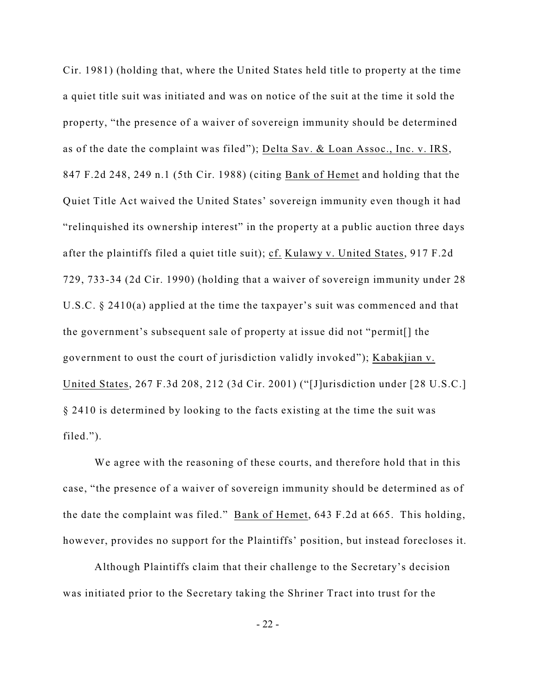Cir. 1981) (holding that, where the United States held title to property at the time a quiet title suit was initiated and was on notice of the suit at the time it sold the property, "the presence of a waiver of sovereign immunity should be determined as of the date the complaint was filed"); Delta Sav. & Loan Assoc., Inc. v. IRS, 847 F.2d 248, 249 n.1 (5th Cir. 1988) (citing Bank of Hemet and holding that the Quiet Title Act waived the United States' sovereign immunity even though it had "relinquished its ownership interest" in the property at a public auction three days after the plaintiffs filed a quiet title suit); cf. Kulawy v. United States, 917 F.2d 729, 733-34 (2d Cir. 1990) (holding that a waiver of sovereign immunity under 28 U.S.C. § 2410(a) applied at the time the taxpayer's suit was commenced and that the government's subsequent sale of property at issue did not "permit[] the government to oust the court of jurisdiction validly invoked"); Kabakjian v. United States, 267 F.3d 208, 212 (3d Cir. 2001) ("[J]urisdiction under [28 U.S.C.] § 2410 is determined by looking to the facts existing at the time the suit was filed.").

We agree with the reasoning of these courts, and therefore hold that in this case, "the presence of a waiver of sovereign immunity should be determined as of the date the complaint was filed." Bank of Hemet, 643 F.2d at 665. This holding, however, provides no support for the Plaintiffs' position, but instead forecloses it.

Although Plaintiffs claim that their challenge to the Secretary's decision was initiated prior to the Secretary taking the Shriner Tract into trust for the

 $-22 -$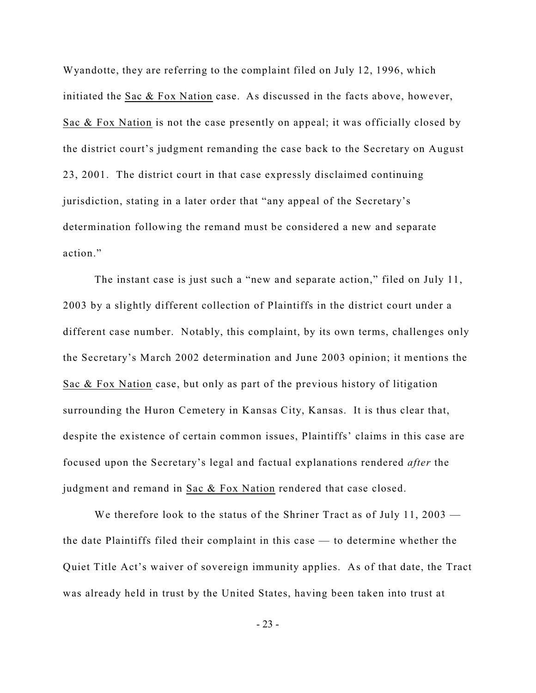Wyandotte, they are referring to the complaint filed on July 12, 1996, which initiated the Sac & Fox Nation case. As discussed in the facts above, however, Sac & Fox Nation is not the case presently on appeal; it was officially closed by the district court's judgment remanding the case back to the Secretary on August 23, 2001. The district court in that case expressly disclaimed continuing jurisdiction, stating in a later order that "any appeal of the Secretary's determination following the remand must be considered a new and separate action."

The instant case is just such a "new and separate action," filed on July 11, 2003 by a slightly different collection of Plaintiffs in the district court under a different case number. Notably, this complaint, by its own terms, challenges only the Secretary's March 2002 determination and June 2003 opinion; it mentions the Sac & Fox Nation case, but only as part of the previous history of litigation surrounding the Huron Cemetery in Kansas City, Kansas. It is thus clear that, despite the existence of certain common issues, Plaintiffs' claims in this case are focused upon the Secretary's legal and factual explanations rendered *after* the judgment and remand in Sac & Fox Nation rendered that case closed.

We therefore look to the status of the Shriner Tract as of July 11, 2003 the date Plaintiffs filed their complaint in this case — to determine whether the Quiet Title Act's waiver of sovereign immunity applies. As of that date, the Tract was already held in trust by the United States, having been taken into trust at

- 23 -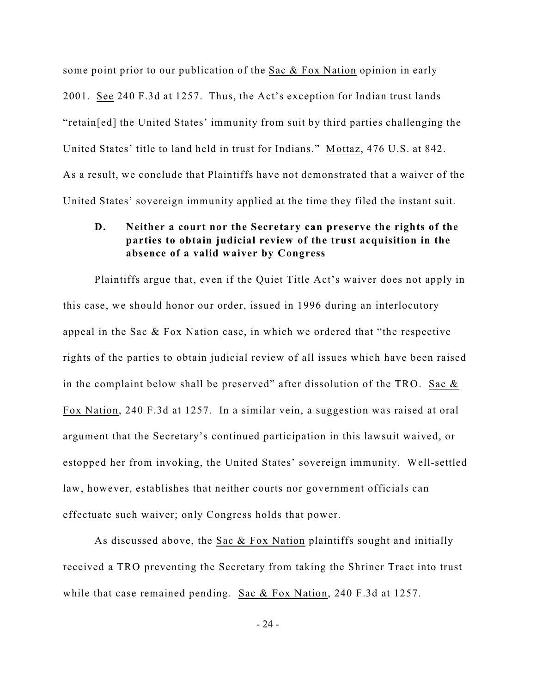some point prior to our publication of the Sac & Fox Nation opinion in early 2001. See 240 F.3d at 1257. Thus, the Act's exception for Indian trust lands "retain[ed] the United States' immunity from suit by third parties challenging the United States' title to land held in trust for Indians." Mottaz, 476 U.S. at 842. As a result, we conclude that Plaintiffs have not demonstrated that a waiver of the United States' sovereign immunity applied at the time they filed the instant suit.

# **D. Neither a court nor the Secretary can preserve the rights of the parties to obtain judicial review of the trust acquisition in the absence of a valid waiver by Congress**

Plaintiffs argue that, even if the Quiet Title Act's waiver does not apply in this case, we should honor our order, issued in 1996 during an interlocutory appeal in the Sac & Fox Nation case, in which we ordered that "the respective rights of the parties to obtain judicial review of all issues which have been raised in the complaint below shall be preserved" after dissolution of the TRO. Sac  $\&$ Fox Nation, 240 F.3d at 1257. In a similar vein, a suggestion was raised at oral argument that the Secretary's continued participation in this lawsuit waived, or estopped her from invoking, the United States' sovereign immunity. Well-settled law, however, establishes that neither courts nor government officials can effectuate such waiver; only Congress holds that power.

As discussed above, the Sac & Fox Nation plaintiffs sought and initially received a TRO preventing the Secretary from taking the Shriner Tract into trust while that case remained pending. Sac & Fox Nation, 240 F.3d at 1257.

- 24 -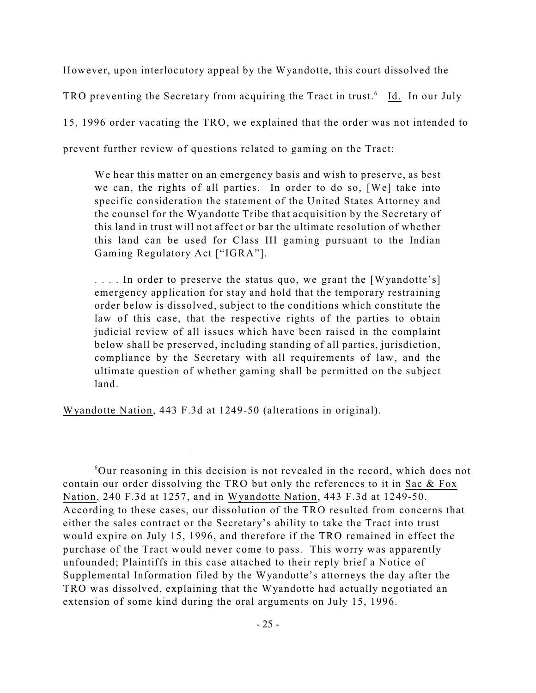However, upon interlocutory appeal by the Wyandotte, this court dissolved the

TRO preventing the Secretary from acquiring the Tract in trust.<sup>6</sup> Id. In our July

15, 1996 order vacating the TRO, we explained that the order was not intended to

prevent further review of questions related to gaming on the Tract:

We hear this matter on an emergency basis and wish to preserve, as best we can, the rights of all parties. In order to do so, [We] take into specific consideration the statement of the United States Attorney and the counsel for the Wyandotte Tribe that acquisition by the Secretary of this land in trust will not affect or bar the ultimate resolution of whether this land can be used for Class III gaming pursuant to the Indian Gaming Regulatory Act ["IGRA"].

.... In order to preserve the status quo, we grant the [Wyandotte's] emergency application for stay and hold that the temporary restraining order below is dissolved, subject to the conditions which constitute the law of this case, that the respective rights of the parties to obtain judicial review of all issues which have been raised in the complaint below shall be preserved, including standing of all parties, jurisdiction, compliance by the Secretary with all requirements of law, and the ultimate question of whether gaming shall be permitted on the subject land.

Wyandotte Nation, 443 F.3d at 1249-50 (alterations in original).

 $60$ ur reasoning in this decision is not revealed in the record, which does not contain our order dissolving the TRO but only the references to it in Sac & Fox Nation, 240 F.3d at 1257, and in Wyandotte Nation, 443 F.3d at 1249-50. According to these cases, our dissolution of the TRO resulted from concerns that either the sales contract or the Secretary's ability to take the Tract into trust would expire on July 15, 1996, and therefore if the TRO remained in effect the purchase of the Tract would never come to pass. This worry was apparently unfounded; Plaintiffs in this case attached to their reply brief a Notice of Supplemental Information filed by the Wyandotte's attorneys the day after the TRO was dissolved, explaining that the Wyandotte had actually negotiated an extension of some kind during the oral arguments on July 15, 1996.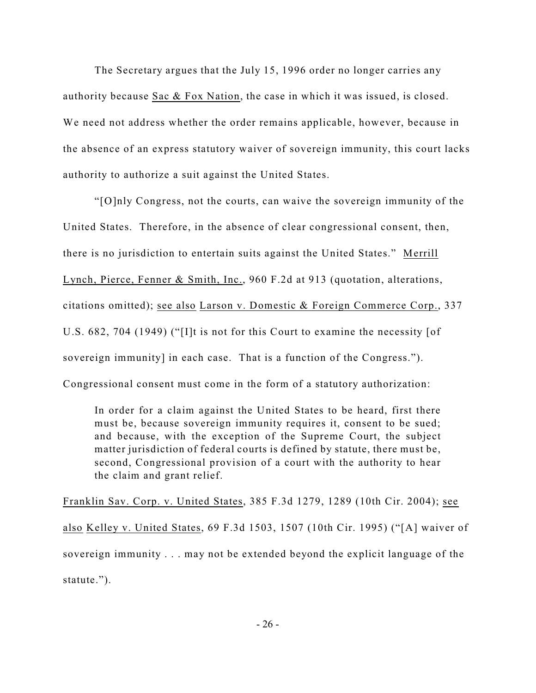The Secretary argues that the July 15, 1996 order no longer carries any authority because Sac & Fox Nation, the case in which it was issued, is closed. We need not address whether the order remains applicable, however, because in the absence of an express statutory waiver of sovereign immunity, this court lacks authority to authorize a suit against the United States.

"[O]nly Congress, not the courts, can waive the sovereign immunity of the United States. Therefore, in the absence of clear congressional consent, then, there is no jurisdiction to entertain suits against the United States." Merrill Lynch, Pierce, Fenner & Smith, Inc., 960 F.2d at 913 (quotation, alterations, citations omitted); see also Larson v. Domestic & Foreign Commerce Corp., 337 U.S. 682, 704 (1949) ("[I]t is not for this Court to examine the necessity [of sovereign immunity] in each case. That is a function of the Congress."). Congressional consent must come in the form of a statutory authorization:

In order for a claim against the United States to be heard, first there must be, because sovereign immunity requires it, consent to be sued; and because, with the exception of the Supreme Court, the subject matter jurisdiction of federal courts is defined by statute, there must be, second, Congressional provision of a court with the authority to hear the claim and grant relief.

Franklin Sav. Corp. v. United States, 385 F.3d 1279, 1289 (10th Cir. 2004); see also Kelley v. United States, 69 F.3d 1503, 1507 (10th Cir. 1995) ("[A] waiver of sovereign immunity . . . may not be extended beyond the explicit language of the statute.").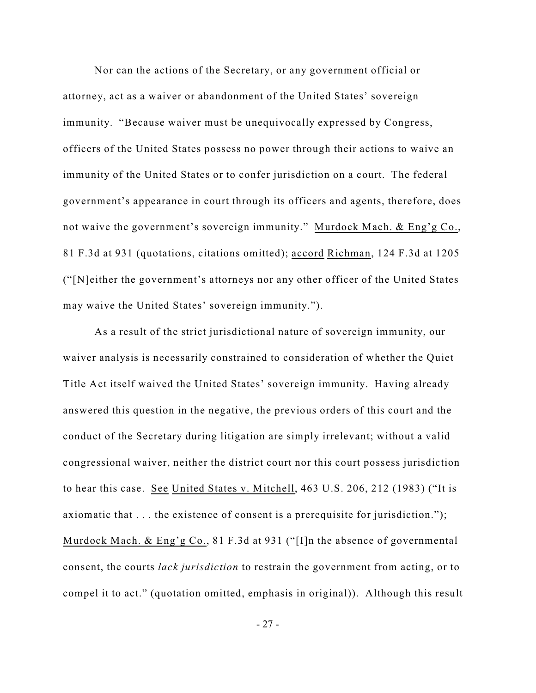Nor can the actions of the Secretary, or any government official or attorney, act as a waiver or abandonment of the United States' sovereign immunity. "Because waiver must be unequivocally expressed by Congress, officers of the United States possess no power through their actions to waive an immunity of the United States or to confer jurisdiction on a court. The federal government's appearance in court through its officers and agents, therefore, does not waive the government's sovereign immunity." Murdock Mach. & Eng'g Co., 81 F.3d at 931 (quotations, citations omitted); accord Richman, 124 F.3d at 1205 ("[N]either the government's attorneys nor any other officer of the United States may waive the United States' sovereign immunity.").

As a result of the strict jurisdictional nature of sovereign immunity, our waiver analysis is necessarily constrained to consideration of whether the Quiet Title Act itself waived the United States' sovereign immunity. Having already answered this question in the negative, the previous orders of this court and the conduct of the Secretary during litigation are simply irrelevant; without a valid congressional waiver, neither the district court nor this court possess jurisdiction to hear this case. See United States v. Mitchell, 463 U.S. 206, 212 (1983) ("It is axiomatic that . . . the existence of consent is a prerequisite for jurisdiction."); Murdock Mach. & Eng'g Co., 81 F.3d at 931 ("[I]n the absence of governmental consent, the courts *lack jurisdiction* to restrain the government from acting, or to compel it to act." (quotation omitted, emphasis in original)). Although this result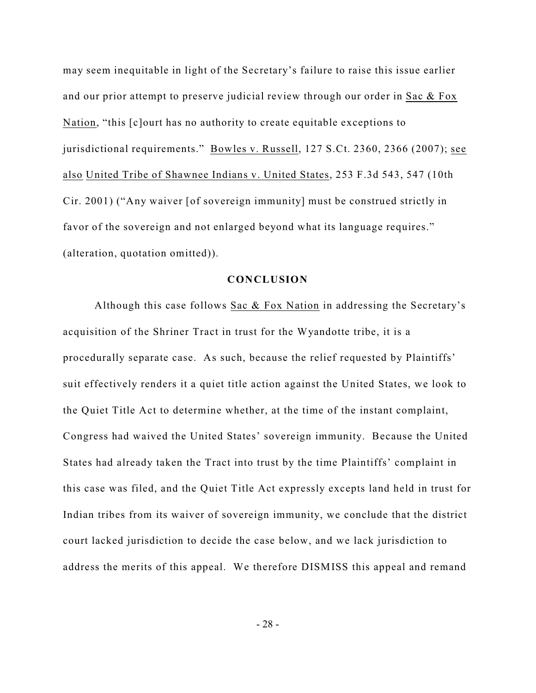may seem inequitable in light of the Secretary's failure to raise this issue earlier and our prior attempt to preserve judicial review through our order in Sac & Fox Nation, "this [c]ourt has no authority to create equitable exceptions to jurisdictional requirements." Bowles v. Russell, 127 S.Ct. 2360, 2366 (2007); see also United Tribe of Shawnee Indians v. United States, 253 F.3d 543, 547 (10th Cir. 2001) ("Any waiver [of sovereign immunity] must be construed strictly in favor of the sovereign and not enlarged beyond what its language requires." (alteration, quotation omitted)).

## **CONCLUSION**

Although this case follows Sac & Fox Nation in addressing the Secretary's acquisition of the Shriner Tract in trust for the Wyandotte tribe, it is a procedurally separate case. As such, because the relief requested by Plaintiffs' suit effectively renders it a quiet title action against the United States, we look to the Quiet Title Act to determine whether, at the time of the instant complaint, Congress had waived the United States' sovereign immunity. Because the United States had already taken the Tract into trust by the time Plaintiffs' complaint in this case was filed, and the Quiet Title Act expressly excepts land held in trust for Indian tribes from its waiver of sovereign immunity, we conclude that the district court lacked jurisdiction to decide the case below, and we lack jurisdiction to address the merits of this appeal. We therefore DISMISS this appeal and remand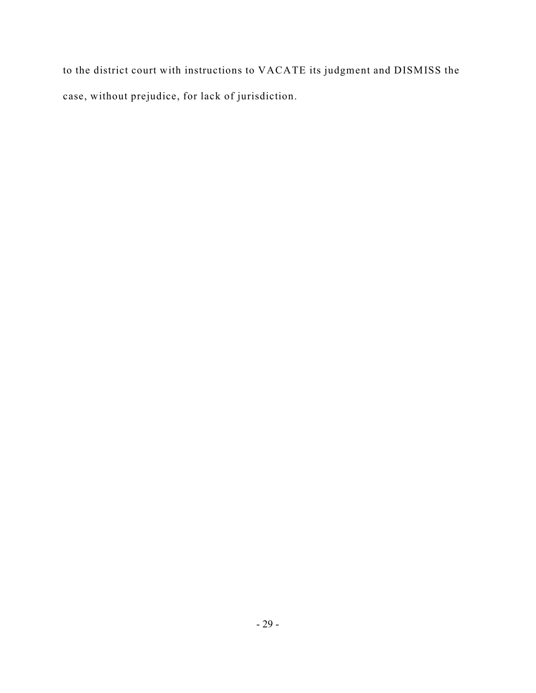to the district court with instructions to VACATE its judgment and DISMISS the case, without prejudice, for lack of jurisdiction.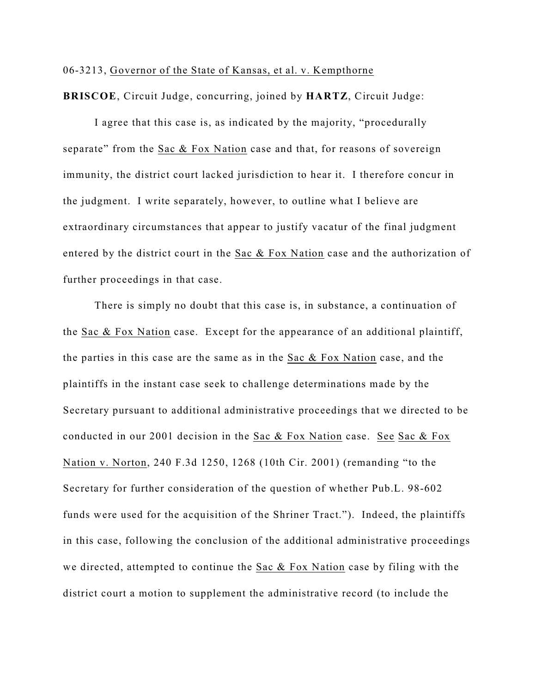### 06-3213, Governor of the State of Kansas, et al. v. Kempthorne

**BRISCOE**, Circuit Judge, concurring, joined by **HARTZ**, Circuit Judge:

I agree that this case is, as indicated by the majority, "procedurally separate" from the Sac & Fox Nation case and that, for reasons of sovereign immunity, the district court lacked jurisdiction to hear it. I therefore concur in the judgment. I write separately, however, to outline what I believe are extraordinary circumstances that appear to justify vacatur of the final judgment entered by the district court in the Sac & Fox Nation case and the authorization of further proceedings in that case.

There is simply no doubt that this case is, in substance, a continuation of the Sac & Fox Nation case. Except for the appearance of an additional plaintiff, the parties in this case are the same as in the Sac & Fox Nation case, and the plaintiffs in the instant case seek to challenge determinations made by the Secretary pursuant to additional administrative proceedings that we directed to be conducted in our 2001 decision in the Sac & Fox Nation case. See Sac & Fox Nation v. Norton, 240 F.3d 1250, 1268 (10th Cir. 2001) (remanding "to the Secretary for further consideration of the question of whether Pub.L. 98-602 funds were used for the acquisition of the Shriner Tract."). Indeed, the plaintiffs in this case, following the conclusion of the additional administrative proceedings we directed, attempted to continue the Sac  $&$  Fox Nation case by filing with the district court a motion to supplement the administrative record (to include the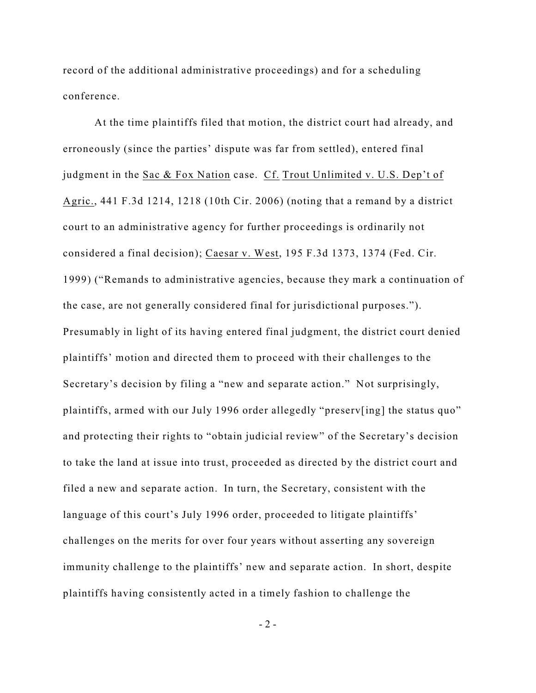record of the additional administrative proceedings) and for a scheduling conference.

At the time plaintiffs filed that motion, the district court had already, and erroneously (since the parties' dispute was far from settled), entered final judgment in the Sac & Fox Nation case. Cf. Trout Unlimited v. U.S. Dep't of Agric., 441 F.3d 1214, 1218 (10th Cir. 2006) (noting that a remand by a district court to an administrative agency for further proceedings is ordinarily not considered a final decision); Caesar v. West, 195 F.3d 1373, 1374 (Fed. Cir. 1999) ("Remands to administrative agencies, because they mark a continuation of the case, are not generally considered final for jurisdictional purposes."). Presumably in light of its having entered final judgment, the district court denied plaintiffs' motion and directed them to proceed with their challenges to the Secretary's decision by filing a "new and separate action." Not surprisingly, plaintiffs, armed with our July 1996 order allegedly "preserv[ing] the status quo" and protecting their rights to "obtain judicial review" of the Secretary's decision to take the land at issue into trust, proceeded as directed by the district court and filed a new and separate action. In turn, the Secretary, consistent with the language of this court's July 1996 order, proceeded to litigate plaintiffs' challenges on the merits for over four years without asserting any sovereign immunity challenge to the plaintiffs' new and separate action. In short, despite plaintiffs having consistently acted in a timely fashion to challenge the

 $-2 -$